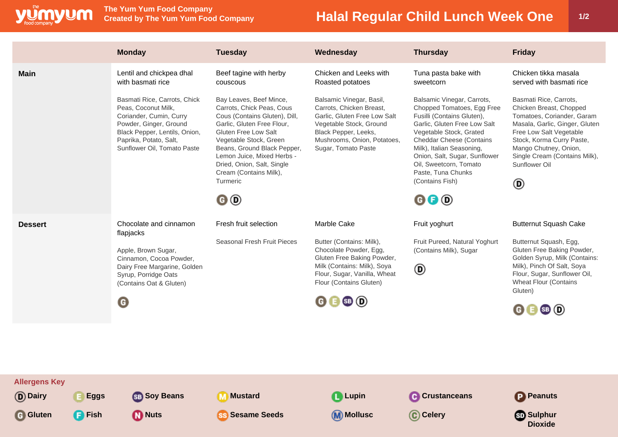

**The Yum Yum Food Company**

## **Halal Regular Child Lunch Week One | 1/2**

**Dioxide**

|                      | <b>Monday</b>                                                                                                                                                                                      | <b>Tuesday</b>                                                                                                                                                                                                                                                                                                 | Wednesday                                                                                                                                                                                     | <b>Thursday</b>                                                                                                                                                                                                                                                                                                                           | <b>Friday</b>                                                                                                                                                                                                                                                        |
|----------------------|----------------------------------------------------------------------------------------------------------------------------------------------------------------------------------------------------|----------------------------------------------------------------------------------------------------------------------------------------------------------------------------------------------------------------------------------------------------------------------------------------------------------------|-----------------------------------------------------------------------------------------------------------------------------------------------------------------------------------------------|-------------------------------------------------------------------------------------------------------------------------------------------------------------------------------------------------------------------------------------------------------------------------------------------------------------------------------------------|----------------------------------------------------------------------------------------------------------------------------------------------------------------------------------------------------------------------------------------------------------------------|
| <b>Main</b>          | Lentil and chickpea dhal<br>with basmati rice                                                                                                                                                      | Beef tagine with herby<br>couscous                                                                                                                                                                                                                                                                             | Chicken and Leeks with<br>Roasted potatoes                                                                                                                                                    | Tuna pasta bake with<br>sweetcorn                                                                                                                                                                                                                                                                                                         | Chicken tikka masala<br>served with basmati rice                                                                                                                                                                                                                     |
|                      | Basmati Rice, Carrots, Chick<br>Peas, Coconut Milk,<br>Coriander, Cumin, Curry<br>Powder, Ginger, Ground<br>Black Pepper, Lentils, Onion,<br>Paprika, Potato, Salt,<br>Sunflower Oil, Tomato Paste | Bay Leaves, Beef Mince,<br>Carrots, Chick Peas, Cous<br>Cous (Contains Gluten), Dill,<br>Garlic, Gluten Free Flour,<br>Gluten Free Low Salt<br>Vegetable Stock, Green<br>Beans, Ground Black Pepper,<br>Lemon Juice, Mixed Herbs -<br>Dried, Onion, Salt, Single<br>Cream (Contains Milk),<br>Turmeric<br>© (D | Balsamic Vinegar, Basil,<br>Carrots, Chicken Breast,<br>Garlic, Gluten Free Low Salt<br>Vegetable Stock, Ground<br>Black Pepper, Leeks,<br>Mushrooms, Onion, Potatoes,<br>Sugar, Tomato Paste | Balsamic Vinegar, Carrots,<br>Chopped Tomatoes, Egg Free<br>Fusilli (Contains Gluten),<br>Garlic, Gluten Free Low Salt<br>Vegetable Stock, Grated<br>Cheddar Cheese (Contains<br>Milk), Italian Seasoning,<br>Onion, Salt, Sugar, Sunflower<br>Oil, Sweetcorn, Tomato<br>Paste, Tuna Chunks<br>(Contains Fish)<br>$\mathbf{0} \mathbf{0}$ | Basmati Rice, Carrots,<br>Chicken Breast, Chopped<br>Tomatoes, Coriander, Garam<br>Masala, Garlic, Ginger, Gluten<br>Free Low Salt Vegetable<br>Stock, Korma Curry Paste,<br>Mango Chutney, Onion,<br>Single Cream (Contains Milk),<br>Sunflower Oil<br>$^\circledR$ |
| <b>Dessert</b>       | Chocolate and cinnamon<br>flapjacks                                                                                                                                                                | Fresh fruit selection                                                                                                                                                                                                                                                                                          | Marble Cake                                                                                                                                                                                   | Fruit yoghurt                                                                                                                                                                                                                                                                                                                             | <b>Butternut Squash Cake</b>                                                                                                                                                                                                                                         |
|                      | Apple, Brown Sugar,<br>Cinnamon, Cocoa Powder,<br>Dairy Free Margarine, Golden<br>Syrup, Porridge Oats<br>(Contains Oat & Gluten)                                                                  | Seasonal Fresh Fruit Pieces                                                                                                                                                                                                                                                                                    | Butter (Contains: Milk),<br>Chocolate Powder, Egg,<br>Gluten Free Baking Powder,<br>Milk (Contains: Milk), Soya<br>Flour, Sugar, Vanilla, Wheat<br>Flour (Contains Gluten)                    | Fruit Pureed, Natural Yoghurt<br>(Contains Milk), Sugar<br>◉                                                                                                                                                                                                                                                                              | Butternut Squash, Egg,<br>Gluten Free Baking Powder,<br>Golden Syrup, Milk (Contains:<br>Milk), Pinch Of Salt, Soya<br>Flour, Sugar, Sunflower Oil,<br><b>Wheat Flour (Contains</b><br>Gluten)                                                                       |
|                      | O                                                                                                                                                                                                  |                                                                                                                                                                                                                                                                                                                | 0 0 0 0                                                                                                                                                                                       |                                                                                                                                                                                                                                                                                                                                           | 0 0 0                                                                                                                                                                                                                                                                |
|                      |                                                                                                                                                                                                    |                                                                                                                                                                                                                                                                                                                |                                                                                                                                                                                               |                                                                                                                                                                                                                                                                                                                                           |                                                                                                                                                                                                                                                                      |
|                      |                                                                                                                                                                                                    |                                                                                                                                                                                                                                                                                                                |                                                                                                                                                                                               |                                                                                                                                                                                                                                                                                                                                           |                                                                                                                                                                                                                                                                      |
| <b>Allergens Key</b> |                                                                                                                                                                                                    |                                                                                                                                                                                                                                                                                                                |                                                                                                                                                                                               |                                                                                                                                                                                                                                                                                                                                           |                                                                                                                                                                                                                                                                      |

**D** Dairy **E** Eggs **Soy Beans Mustard C** Lupin **C** Crustanceans **P** Peanuts

**G** Gluten **C** Fish **M** Nuts **SS** Sesame Seeds **M** Mollusc **C** Celery **SS** Sulphur